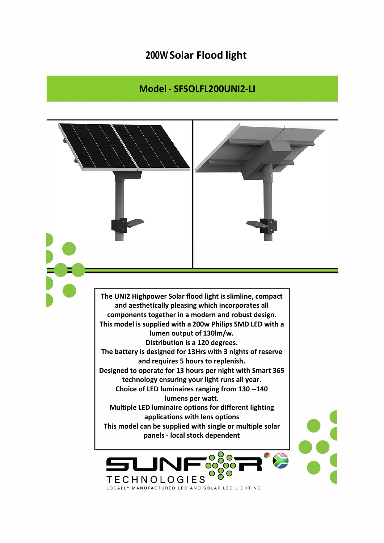## **200W Solar Flood light**

## **Model - SFSOLFL200UNI2-LI**

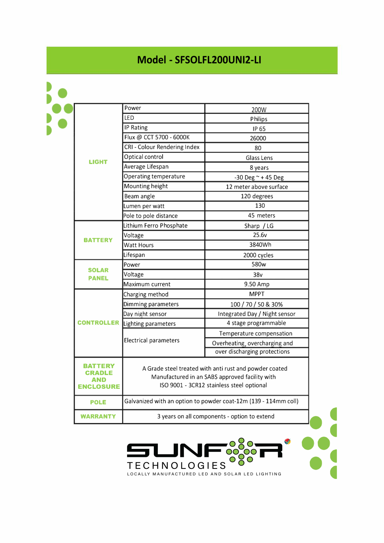## **Model - SFSOLFL200UNI2-LI**

| <b>LIGHT</b>                    | Power                                                                                                                                                 | 200W                          |
|---------------------------------|-------------------------------------------------------------------------------------------------------------------------------------------------------|-------------------------------|
|                                 | LED                                                                                                                                                   | Philips                       |
|                                 | <b>IP Rating</b>                                                                                                                                      | IP 65                         |
|                                 | Flux @ CCT 5700 - 6000K                                                                                                                               | 26000                         |
|                                 | CRI - Colour Rendering Index                                                                                                                          | 80                            |
|                                 | Optical control                                                                                                                                       | Glass Lens                    |
|                                 | Average Lifespan                                                                                                                                      | 8 years                       |
|                                 | <b>Operating temperature</b>                                                                                                                          | $-30$ Deg $\sim$ +45 Deg      |
|                                 | Mounting height                                                                                                                                       | 12 meter above surface        |
|                                 | Beam angle                                                                                                                                            | 120 degrees                   |
|                                 | Lumen per watt                                                                                                                                        | 130                           |
|                                 | Pole to pole distance                                                                                                                                 | 45 meters                     |
| <b>BATTERY</b>                  | Lithium Ferro Phosphate                                                                                                                               | Sharp / LG                    |
|                                 | Voltage                                                                                                                                               | 25.6v                         |
|                                 | <b>Watt Hours</b>                                                                                                                                     | 3840Wh                        |
|                                 | Lifespan                                                                                                                                              | 2000 cycles                   |
| <b>SOLAR</b><br><b>PANEL</b>    | Power                                                                                                                                                 | 580w                          |
|                                 | Voltage                                                                                                                                               | 38v                           |
|                                 | Maximum current                                                                                                                                       | 9.50 Amp                      |
| <b>CONTROLLER</b>               | Charging method                                                                                                                                       | <b>MPPT</b>                   |
|                                 | Dimming parameters                                                                                                                                    | 100 / 70 / 50 & 30%           |
|                                 | Day night sensor                                                                                                                                      | Integrated Day / Night sensor |
|                                 | Lighting parameters                                                                                                                                   | 4 stage programmable          |
|                                 | <b>Electrical parameters</b>                                                                                                                          | Temperature compensation      |
|                                 |                                                                                                                                                       | Overheating, overcharging and |
|                                 |                                                                                                                                                       | over discharging protections  |
| TFRY<br>AND<br><b>ENCLOSURE</b> | A Grade steel treated with anti rust and powder coated<br>Manufactured in an SABS approved facility with<br>ISO 9001 - 3CR12 stainless steel optional |                               |
| <b>POLE</b>                     | Galvanized with an option to powder coat-12m (139 - 114mm coll)                                                                                       |                               |
| <b>WARRANTY</b>                 | 3 years on all components - option to extend                                                                                                          |                               |

••• •• **t** 

TECHNOLOGIES OCO - -

LJN

y